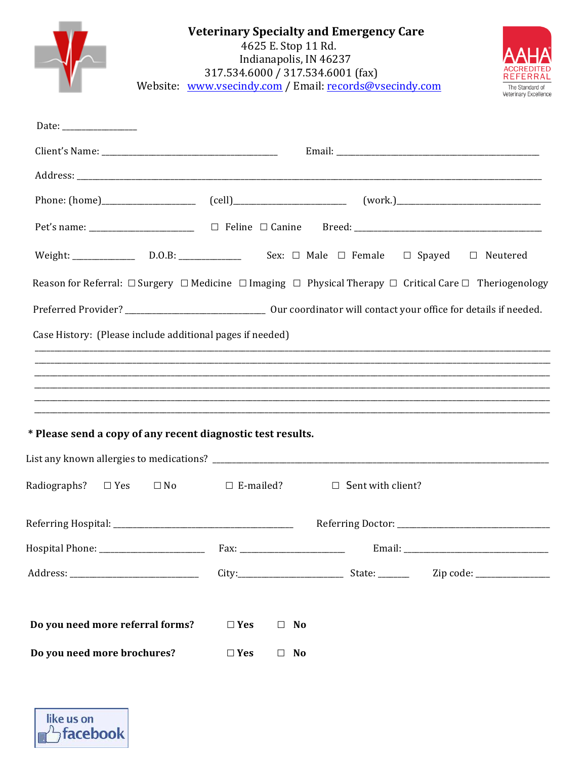| <b>Veterinary Specialty and Emergency Care</b><br>4625 E. Stop 11 Rd.<br>Indianapolis, IN 46237<br>317.534.6000 / 317.534.6001 (fax)<br>Website: www.vsecindy.com / Email: records@vsecindy.com<br>The Standard of<br>Veterinary Excellence |                                                       |                                           |                                                                                                                                                 |
|---------------------------------------------------------------------------------------------------------------------------------------------------------------------------------------------------------------------------------------------|-------------------------------------------------------|-------------------------------------------|-------------------------------------------------------------------------------------------------------------------------------------------------|
|                                                                                                                                                                                                                                             |                                                       |                                           |                                                                                                                                                 |
|                                                                                                                                                                                                                                             |                                                       |                                           |                                                                                                                                                 |
|                                                                                                                                                                                                                                             |                                                       |                                           |                                                                                                                                                 |
|                                                                                                                                                                                                                                             |                                                       |                                           |                                                                                                                                                 |
|                                                                                                                                                                                                                                             |                                                       |                                           |                                                                                                                                                 |
| Weight: _______________ D.O.B: ______________ Sex: □ Male □ Female □ Spayed □ Neutered                                                                                                                                                      |                                                       |                                           |                                                                                                                                                 |
| Reason for Referral: $\Box$ Surgery $\Box$ Medicine $\Box$ Imaging $\Box$ Physical Therapy $\Box$ Critical Care $\Box$ Theriogenology                                                                                                       |                                                       |                                           |                                                                                                                                                 |
|                                                                                                                                                                                                                                             |                                                       |                                           |                                                                                                                                                 |
| Case History: (Please include additional pages if needed)                                                                                                                                                                                   |                                                       |                                           | ,我们也不能在这里的时候,我们也不能在这里的时候,我们也不能会不能会不能会不能会不能会不能会不能会不能会不能会不能会。<br>第2012章 我们的时候,我们的时候,我们的时候,我们的时候,我们的时候,我们的时候,我们的时候,我们的时候,我们的时候,我们的时候,我们的时候,我们的时候,我 |
| * Please send a copy of any recent diagnostic test results.                                                                                                                                                                                 |                                                       |                                           |                                                                                                                                                 |
|                                                                                                                                                                                                                                             |                                                       |                                           |                                                                                                                                                 |
| Radiographs? $\Box$ Yes $\Box$ No                                                                                                                                                                                                           |                                                       | $\Box$ E-mailed? $\Box$ Sent with client? |                                                                                                                                                 |
|                                                                                                                                                                                                                                             |                                                       |                                           |                                                                                                                                                 |
|                                                                                                                                                                                                                                             |                                                       |                                           |                                                                                                                                                 |
|                                                                                                                                                                                                                                             |                                                       |                                           |                                                                                                                                                 |
| Do you need more referral forms?<br>Do you need more brochures?                                                                                                                                                                             | $\Box$ Yes<br>$\Box$ No<br>$\Box$ Yes<br>$\square$ No |                                           |                                                                                                                                                 |